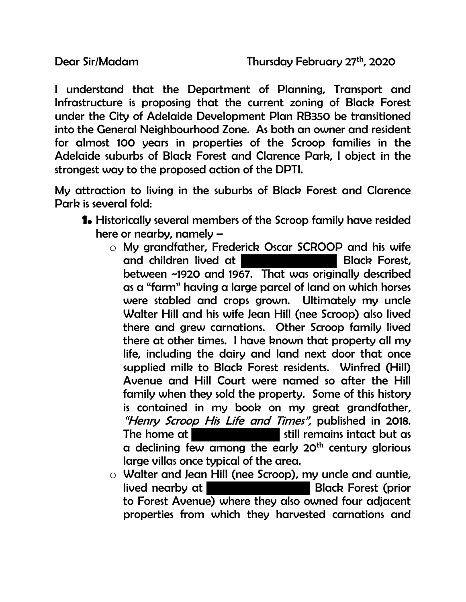I understand that the Department of Planning, Transport and Infrastructure is proposing that the current zoning of Black Forest under the City of Adelaide Development Plan RB350 be transitioned into the General Neighbourhood Zone. As both an owner and resident for almost 100 years in properties of the Scroop families in the Adelaide suburbs of Black Forest and Clarence Park, I object in the strongest way to the proposed action of the DPTI.

My attraction to living in the suburbs of Black Forest and Clarence Park is several fold:

- **1.** Historically several members of the Scroop family have resided here or nearby, namely –
	- o My grandfather, Frederick Oscar SCROOP and his wife and children lived at I between ~1920 and 1967. That was originally described as a "farm" having a large parcel of land on which horses were stabled and crops grown. Ultimately my uncle Walter Hill and his wife Jean Hill (nee Scroop) also lived there and grew carnations. Other Scroop family lived there at other times. I have known that property all my life, including the dairy and land next door that once supplied milk to Black Forest residents. Winfred (Hill) Avenue and Hill Court were named so after the Hill family when they sold the property. Some of this history is contained in my book on my great grandfather, "Henry Scroop His Life and Times", published in 2018. The home at still remains intact but as a declining few among the early 20<sup>th</sup> century glorious large villas once typical of the area.
	- $\circ$  Walter and Jean Hill (nee Scroop), my uncle and auntie,<br>lived nearby at **Black Forest** (prior lived nearby at Black Forest Controller to Forest Avenue) where they also owned four adjacent properties from which they harvested carnations and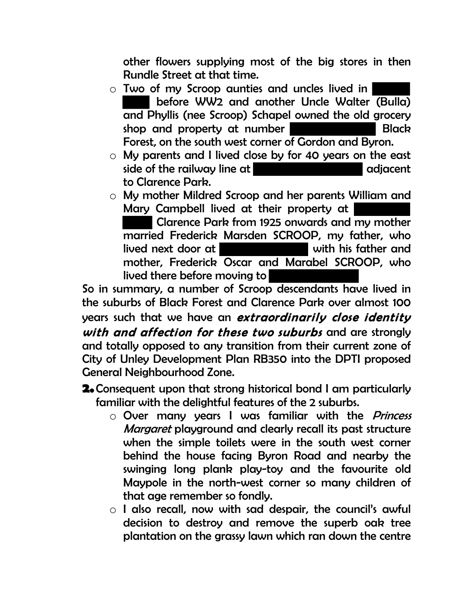other flowers supplying most of the big stores in then Rundle Street at that time.

- o Two of my Scroop aunties and uncles lived in before WW2 and another Uncle Walter (Bulla) and Phyllis (nee Scroop) Schapel owned the old grocery shop and property at number **Black** Forest, on the south west corner of Gordon and Byron.
- $\circ$  My parents and I lived close by for 40 years on the east side of the railway line at side of the railway line at to Clarence Park.
- o My mother Mildred Scroop and her parents William and Mary Campbell lived at their property at Clarence Park from 1925 onwards and my mother married Frederick Marsden SCROOP, my father, who lived next door at with his father and mother, Frederick Oscar and Marabel SCROOP, who lived there before moving to

So in summary, a number of Scroop descendants have lived in the suburbs of Black Forest and Clarence Park over almost 100 years such that we have an *extraordinarily close identity* with and affection for these two suburbs and are stronaly and totally opposed to any transition from their current zone of City of Unley Development Plan RB350 into the DPTI proposed General Neighbourhood Zone.

- **2.**Consequent upon that strong historical bond I am particularly familiar with the delightful features of the 2 suburbs.
	- o Over many years I was familiar with the *Princess* Margaret playground and clearly recall its past structure when the simple toilets were in the south west corner behind the house facing Byron Road and nearby the swinging long plank play-toy and the favourite old Maypole in the north-west corner so many children of that age remember so fondly.
	- o I also recall, now with sad despair, the council's awful decision to destroy and remove the superb oak tree plantation on the grassy lawn which ran down the centre